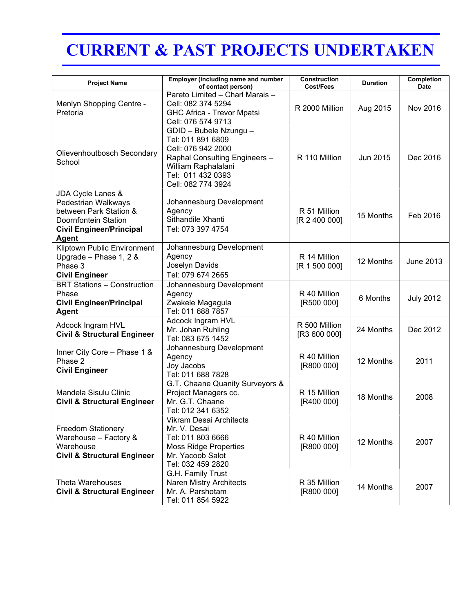## CURRENT & PAST PROJECTS UNDERTAKEN

| <b>Project Name</b>                                                                                                                    | Employer (including name and number<br>of contact person)                                                                                                            | Construction<br>Cost/Fees     | <b>Duration</b> | Completion<br><b>Date</b> |
|----------------------------------------------------------------------------------------------------------------------------------------|----------------------------------------------------------------------------------------------------------------------------------------------------------------------|-------------------------------|-----------------|---------------------------|
| Menlyn Shopping Centre -<br>Pretoria                                                                                                   | Pareto Limited - Charl Marais -<br>Cell: 082 374 5294<br><b>GHC Africa - Trevor Mpatsi</b><br>Cell: 076 574 9713                                                     | R 2000 Million                | Aug 2015        | Nov 2016                  |
| Olievenhoutbosch Secondary<br>School                                                                                                   | GDID - Bubele Nzungu -<br>Tel: 011 891 6809<br>Cell: 076 942 2000<br>Raphal Consulting Engineers -<br>William Raphalalani<br>Tel: 011 432 0393<br>Cell: 082 774 3924 | R 110 Million                 | Jun 2015        | Dec 2016                  |
| JDA Cycle Lanes &<br>Pedestrian Walkways<br>between Park Station &<br>Doornfontein Station<br><b>Civil Engineer/Principal</b><br>Agent | Johannesburg Development<br>Agency<br>Sithandile Xhanti<br>Tel: 073 397 4754                                                                                         | R 51 Million<br>[R 2 400 000] | 15 Months       | Feb 2016                  |
| Kliptown Public Environment<br>Upgrade - Phase 1, 2 &<br>Phase 3<br><b>Civil Engineer</b>                                              | Johannesburg Development<br>Agency<br>Joselyn Davids<br>Tel: 079 674 2665                                                                                            | R 14 Million<br>[R 1 500 000] | 12 Months       | <b>June 2013</b>          |
| <b>BRT Stations - Construction</b><br>Phase<br><b>Civil Engineer/Principal</b><br><b>Agent</b>                                         | Johannesburg Development<br>Agency<br>Zwakele Magagula<br>Tel: 011 688 7857                                                                                          | R 40 Million<br>[R500 000]    | 6 Months        | <b>July 2012</b>          |
| <b>Adcock Ingram HVL</b><br><b>Civil &amp; Structural Engineer</b>                                                                     | Adcock Ingram HVL<br>Mr. Johan Ruhling<br>Tel: 083 675 1452                                                                                                          | R 500 Million<br>[R3 600 000] | 24 Months       | Dec 2012                  |
| Inner City Core - Phase 1 &<br>Phase 2<br><b>Civil Engineer</b>                                                                        | Johannesburg Development<br>Agency<br>Joy Jacobs<br>Tel: 011 688 7828                                                                                                | R 40 Million<br>[R800 000]    | 12 Months       | 2011                      |
| Mandela Sisulu Clinic<br><b>Civil &amp; Structural Engineer</b>                                                                        | G.T. Chaane Quanity Surveyors &<br>Project Managers cc.<br>Mr. G.T. Chaane<br>Tel: 012 341 6352                                                                      | R 15 Million<br>[R400 000]    | 18 Months       | 2008                      |
| <b>Freedom Stationery</b><br>Warehouse - Factory &<br>Warehouse<br><b>Civil &amp; Structural Engineer</b>                              | Vikram Desai Architects<br>Mr. V. Desai<br>Tel: 011 803 6666<br><b>Moss Ridge Properties</b><br>Mr. Yacoob Salot<br>Tel: 032 459 2820                                | R 40 Million<br>[R800 000]    | 12 Months       | 2007                      |
| <b>Theta Warehouses</b><br><b>Civil &amp; Structural Engineer</b>                                                                      | G.H. Family Trust<br>Naren Mistry Architects<br>Mr. A. Parshotam<br>Tel: 011 854 5922                                                                                | R 35 Million<br>[R800 000]    | 14 Months       | 2007                      |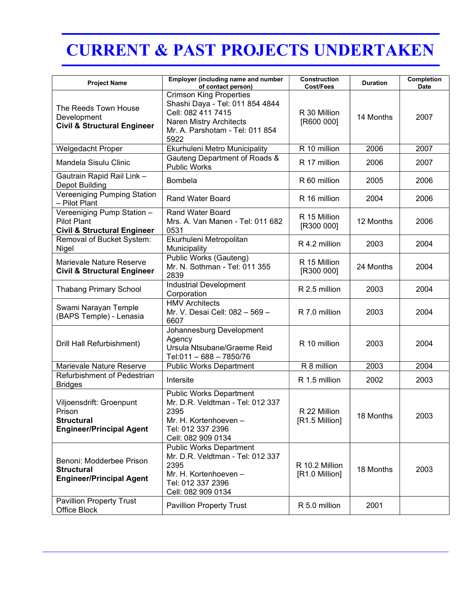## CURRENT & PAST PROJECTS UNDERTAKEN

| <b>Project Name</b>                                                                        | Employer (including name and number<br>of contact person)                                                                                                     | Construction<br>Cost/Fees        | <b>Duration</b> | Completion<br>Date |
|--------------------------------------------------------------------------------------------|---------------------------------------------------------------------------------------------------------------------------------------------------------------|----------------------------------|-----------------|--------------------|
| The Reeds Town House<br>Development<br><b>Civil &amp; Structural Engineer</b>              | <b>Crimson King Properties</b><br>Shashi Daya - Tel: 011 854 4844<br>Cell: 082 411 7415<br>Naren Mistry Architects<br>Mr. A. Parshotam - Tel: 011 854<br>5922 | R 30 Million<br>[R600 000]       | 14 Months       | 2007               |
| Welgedacht Proper                                                                          | Ekurhuleni Metro Municipality                                                                                                                                 | R 10 million                     | 2006            | 2007               |
| Mandela Sisulu Clinic                                                                      | Gauteng Department of Roads &<br>Public Works                                                                                                                 | R 17 million                     | 2006            | 2007               |
| Gautrain Rapid Rail Link -<br>Depot Building                                               | <b>Bombela</b>                                                                                                                                                | R 60 million                     | 2005            | 2006               |
| Vereeniging Pumping Station<br>- Pilot Plant                                               | <b>Rand Water Board</b>                                                                                                                                       | R 16 million                     | 2004            | 2006               |
| Vereeniging Pump Station -<br><b>Pilot Plant</b><br><b>Civil &amp; Structural Engineer</b> | Rand Water Board<br>Mrs. A. Van Manen - Tel: 011 682<br>0531                                                                                                  | R 15 Million<br>[R300 000]       | 12 Months       | 2006               |
| Removal of Bucket System:<br>Nigel                                                         | Ekurhuleni Metropolitan<br>Municipality                                                                                                                       | R 4.2 million                    | 2003            | 2004               |
| Marievale Nature Reserve<br><b>Civil &amp; Structural Engineer</b>                         | Public Works (Gauteng)<br>Mr. N. Sothman - Tel: 011 355<br>2839                                                                                               | R 15 Million<br>[R300 000]       | 24 Months       | 2004               |
| <b>Thabang Primary School</b>                                                              | Industrial Development<br>Corporation                                                                                                                         | R 2.5 million                    | 2003            | 2004               |
| Swami Narayan Temple<br>(BAPS Temple) - Lenasia                                            | <b>HMV Architects</b><br>Mr. V. Desai Cell: 082 - 569 -<br>6607                                                                                               | R 7.0 million                    | 2003            | 2004               |
| Drill Hall Refurbishment)                                                                  | Johannesburg Development<br>Agency<br>Ursula Ntsubane/Graeme Reid<br>Tel:011 - 688 - 7850/76                                                                  | R 10 million                     | 2003            | 2004               |
| Marievale Nature Reserve                                                                   | <b>Public Works Department</b>                                                                                                                                | R 8 million                      | 2003            | 2004               |
| Refurbishment of Pedestrian<br><b>Bridges</b>                                              | Intersite                                                                                                                                                     | R 1.5 million                    | 2002            | 2003               |
| Viljoensdrift: Groenpunt<br>Prison<br><b>Structural</b><br><b>Engineer/Principal Agent</b> | <b>Public Works Department</b><br>Mr. D.R. Veldtman - Tel: 012 337<br>2395<br>Mr. H. Kortenhoeven -<br>Tel: 012 337 2396<br>Cell: 082 909 0134                | R 22 Million<br>[R1.5 Million]   | 18 Months       | 2003               |
| Benoni: Modderbee Prison<br><b>Structural</b><br><b>Engineer/Principal Agent</b>           | <b>Public Works Department</b><br>Mr. D.R. Veldtman - Tel: 012 337<br>2395<br>Mr. H. Kortenhoeven -<br>Tel: 012 337 2396<br>Cell: 082 909 0134                | R 10.2 Million<br>[R1.0 Million] | 18 Months       | 2003               |
| <b>Pavillion Property Trust</b><br>Office Block                                            | <b>Pavillion Property Trust</b>                                                                                                                               | R 5.0 million                    | 2001            |                    |